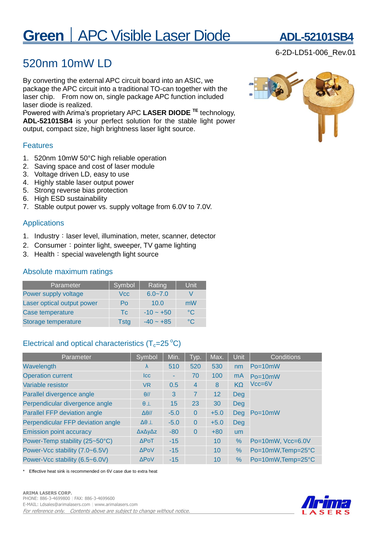# **Green** | APC Visible Laser Diode **ADL-52101SB**

## 520nm 10mW LD

By converting the external APC circuit board into an ASIC, we package the APC circuit into a traditional TO-can together with the laser chip. From now on, single package APC function included laser diode is realized.

Powered with Arima's proprietary APC **LASER DIODE TE** technology, **ADL-52101SB4** is your perfect solution for the stable light power output, compact size, high brightness laser light source.

### Features

- 1. 520nm 10mW 50°C high reliable operation
- 2. Saving space and cost of laser module
- 3. Voltage driven LD, easy to use
- 4. Highly stable laser output power
- 5. Strong reverse bias protection
- 6. High ESD sustainability
- 7. Stable output power vs. supply voltage from 6.0V to 7.0V.

### Applications

- 1. Industry: laser level, illumination, meter, scanner, detector
- 2. Consumer: pointer light, sweeper, TV game lighting
- 3. Health: special wavelength light source

### Absolute maximum ratings

| Parameter                  | Symbol      | Rating         | Unit         |
|----------------------------|-------------|----------------|--------------|
| Power supply voltage       | <b>Vcc</b>  | $6.0 - 7.0$    |              |
| Laser optical output power | Po          | 10.0           | mW           |
| Case temperature           | Tc.         | $-10 \sim +50$ | $^{\circ}$ C |
| Storage temperature        | <b>Tstg</b> | $-40 - +85$    | °C.          |

### Electrical and optical characteristics  $(T_c=25\degree C)$

| Parameter                         | Symbol                 | Min.   | Typ.           | Max.   | Unit      | Conditions         |  |
|-----------------------------------|------------------------|--------|----------------|--------|-----------|--------------------|--|
| Wavelength                        | $\lambda$              | 510    | 520            | 530    | nm        | $Po = 10mW$        |  |
| <b>Operation current</b>          | <b>Icc</b>             |        | 70             | 100    | mA        | $Po = 10mW$        |  |
| Variable resistor                 | VR.                    | 0.5    | $\overline{4}$ | 8      | $K\Omega$ | $Vcc = 6V$         |  |
| Parallel divergence angle         | $\theta$ //            | 3      | 7              | 12     | Deg       |                    |  |
| Perpendicular divergence angle    | $\theta$ $\perp$       | 15     | 23             | 30     | Deg       | Po=10mW            |  |
| Parallel FFP deviation angle      | $\Delta\theta$ //      | $-5.0$ | $\Omega$       | $+5.0$ | Deg       |                    |  |
| Perpendicular FFP deviation angle | $\Delta\theta$ $\perp$ | $-5.0$ | $\Omega$       | $+5.0$ | Deg       |                    |  |
| <b>Emission point accuracy</b>    | ΔχΔγΔz                 | $-80$  | $\Omega$       | $+80$  | <b>um</b> |                    |  |
| Power-Temp stability (25~50°C)    | $\triangle$ PoT        | $-15$  |                | 10     | $\%$      | Po=10mW, Vcc=6.0V  |  |
| Power-Vcc stability (7.0~6.5V)    | <b>APOV</b>            | $-15$  |                | 10     | %         | Po=10mW, Temp=25°C |  |
| Power-Vcc stability (6.5~6.0V)    | <b>APoV</b>            | $-15$  |                | 10     | $\%$      | Po=10mW, Temp=25°C |  |

Effective heat sink is recommended on 6V case due to extra heat



6-2D-LD51-006\_Rev.01